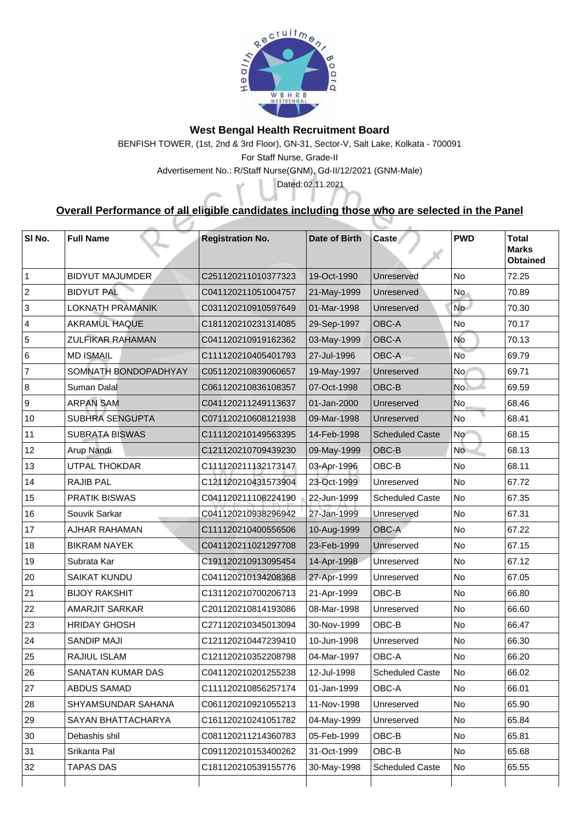

## **West Bengal Health Recruitment Board**

## **Overall Performance of all eligible candidates including those who are selected in the Panel**

BENFISH TOWER, (1st, 2nd & 3rd Floor), GN-31, Sector-V, Salt Lake, Kolkata - 700091 For Staff Nurse, Grade-II Advertisement No.: R/Staff Nurse(GNM), Gd-II/12/2021 (GNM-Male) Dated: 02.11.2021

| SI No.          | <b>Full Name</b>          | <b>Registration No.</b> | Date of Birth | <b>Caste</b>           | <b>PWD</b> | <b>Total</b><br><b>Marks</b><br><b>Obtained</b> |
|-----------------|---------------------------|-------------------------|---------------|------------------------|------------|-------------------------------------------------|
|                 | <b>BIDYUT MAJUMDER</b>    | C251120211010377323     | 19-Oct-1990   | <b>Unreserved</b>      | <b>No</b>  | 72.25                                           |
| 2               | <b>BIDYUT PAL</b>         | C041120211051004757     | 21-May-1999   | Unreserved             | No.        | 70.89                                           |
| 3               | <b>LOKNATH PRAMANIK</b>   | C031120210910597649     | 01-Mar-1998   | <b>Unreserved</b>      | <b>No</b>  | 70.30                                           |
| $\overline{4}$  | <b>AKRAMUL HAQUE</b>      | C181120210231314085     | 29-Sep-1997   | <b>OBC-A</b>           | <b>No</b>  | 70.17                                           |
| 5               | <b>ZULFIKAR RAHAMAN</b>   | C041120210919162362     | 03-May-1999   | <b>OBC-A</b>           | No         | 70.13                                           |
| 6               | <b>MD ISMAIL</b>          | C111120210405401793     | 27-Jul-1996   | <b>OBC-A</b>           | <b>No</b>  | 69.79                                           |
|                 | SOMNATH BONDOPADHYAY      | C051120210839060657     | 19-May-1997   | <b>Unreserved</b>      | No         | 69.71                                           |
| 8               | <b>Suman Dalal</b>        | C061120210836108357     | 07-Oct-1998   | <b>OBC-B</b>           | <b>No</b>  | 69.59                                           |
| 9               | <b>ARPAN SAM</b>          | C041120211249113637     | 01-Jan-2000   | Unreserved             | No         | 68.46                                           |
| 10              | <b>SUBHRA SENGUPTA</b>    | C071120210608121938     | 09-Mar-1998   | Unreserved             | No         | 68.41                                           |
| 11              | <b>SUBRATA BISWAS</b>     | C111120210149563395     | 14-Feb-1998   | <b>Scheduled Caste</b> | <b>No</b>  | 68.15                                           |
| 12 <sup>2</sup> | <b>Arup Nandi</b>         | C121120210709439230     | 09-May-1999   | OBC-B                  | No.        | 68.13                                           |
| 13              | <b>UTPAL THOKDAR</b>      | C111120211132173147     | 03-Apr-1996   | OBC-B                  | <b>No</b>  | 68.11                                           |
| 14              | <b>RAJIB PAL</b>          | C121120210431573904     | 23-Oct-1999   | Unreserved             | No         | 67.72                                           |
| 15              | <b>PRATIK BISWAS</b>      | C041120211108224190     | 22-Jun-1999   | <b>Scheduled Caste</b> | <b>No</b>  | 67.35                                           |
| 16              | <b>Souvik Sarkar</b>      | C041120210938296942     | 27-Jan-1999   | Unreserved             | No         | 67.31                                           |
| 17              | <b>AJHAR RAHAMAN</b>      | C111120210400556506     | 10-Aug-1999   | <b>OBC-A</b>           | <b>No</b>  | 67.22                                           |
| 18              | <b>BIKRAM NAYEK</b>       | C041120211021297708     | 23-Feb-1999   | Unreserved             | No         | 67.15                                           |
| 19              | Subrata Kar               | C191120210913095454     | 14-Apr-1998   | Unreserved             | <b>No</b>  | 67.12                                           |
| 20              | <b>SAIKAT KUNDU</b>       | C041120210134208368     | 27-Apr-1999   | Unreserved             | <b>No</b>  | 67.05                                           |
| 21              | <b>BIJOY RAKSHIT</b>      | C131120210700206713     | 21-Apr-1999   | OBC-B                  | No         | 66.80                                           |
| 22              | <b>AMARJIT SARKAR</b>     | C201120210814193086     | 08-Mar-1998   | <b>Unreserved</b>      | No         | 66.60                                           |
| 23              | <b>HRIDAY GHOSH</b>       | C271120210345013094     | 30-Nov-1999   | OBC-B                  | No         | 66.47                                           |
| 24              | <b>SANDIP MAJI</b>        | C121120210447239410     | 10-Jun-1998   | Unreserved             | <b>No</b>  | 66.30                                           |
| 25              | <b>RAJIUL ISLAM</b>       | C121120210352208798     | 04-Mar-1997   | <b>OBC-A</b>           | No         | 66.20                                           |
| 26              | <b>SANATAN KUMAR DAS</b>  | C041120210201255238     | 12-Jul-1998   | <b>Scheduled Caste</b> | <b>No</b>  | 66.02                                           |
| 27              | <b>ABDUS SAMAD</b>        | C111120210856257174     | 01-Jan-1999   | <b>OBC-A</b>           | No         | 66.01                                           |
| 28              | <b>SHYAMSUNDAR SAHANA</b> | C061120210921055213     | 11-Nov-1998   | Unreserved             | No         | 65.90                                           |
| 29              | <b>SAYAN BHATTACHARYA</b> | C161120210241051782     | 04-May-1999   | Unreserved             | No         | 65.84                                           |
| 30              | Debashis shil             | C081120211214360783     | 05-Feb-1999   | OBC-B                  | No         | 65.81                                           |
| 31              | Srikanta Pal              | C091120210153400262     | 31-Oct-1999   | OBC-B                  | No         | 65.68                                           |
| 32              | <b>TAPAS DAS</b>          | C181120210539155776     | 30-May-1998   | <b>Scheduled Caste</b> | No         | 65.55                                           |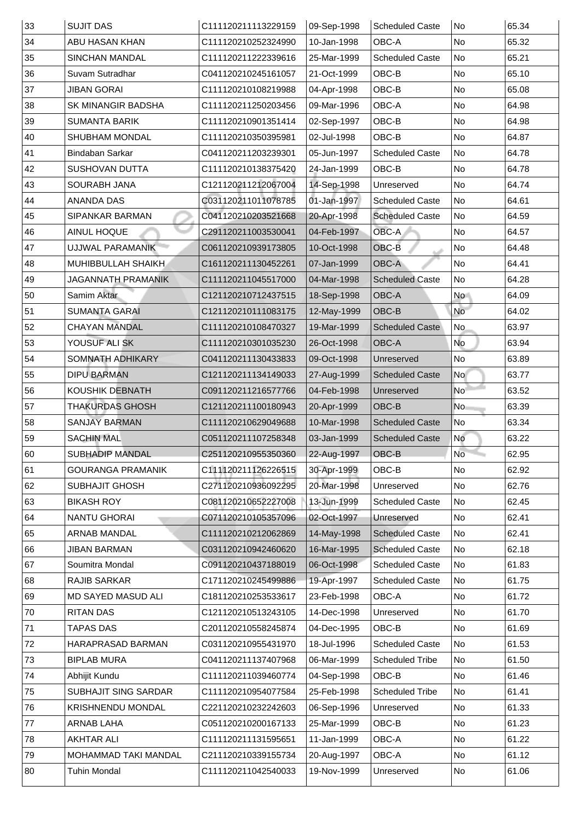| 33 | <b>SUJIT DAS</b>            | C111120211113229159 | 09-Sep-1998 | <b>Scheduled Caste</b> | <b>No</b>      | 65.34 |
|----|-----------------------------|---------------------|-------------|------------------------|----------------|-------|
| 34 | <b>ABU HASAN KHAN</b>       | C111120210252324990 | 10-Jan-1998 | <b>OBC-A</b>           | No             | 65.32 |
| 35 | <b>SINCHAN MANDAL</b>       | C111120211222339616 | 25-Mar-1999 | <b>Scheduled Caste</b> | No             | 65.21 |
| 36 | <b>Suvam Sutradhar</b>      | C041120210245161057 | 21-Oct-1999 | OBC-B                  | No             | 65.10 |
| 37 | <b>JIBAN GORAI</b>          | C111120210108219988 | 04-Apr-1998 | OBC-B                  | No             | 65.08 |
| 38 | <b>SK MINANGIR BADSHA</b>   | C111120211250203456 | 09-Mar-1996 | <b>OBC-A</b>           | No             | 64.98 |
| 39 | <b>SUMANTA BARIK</b>        | C111120210901351414 | 02-Sep-1997 | OBC-B                  | No             | 64.98 |
| 40 | <b>SHUBHAM MONDAL</b>       | C111120210350395981 | 02-Jul-1998 | OBC-B                  | No             | 64.87 |
| 41 | <b>Bindaban Sarkar</b>      | C041120211203239301 | 05-Jun-1997 | <b>Scheduled Caste</b> | No             | 64.78 |
| 42 | <b>SUSHOVAN DUTTA</b>       | C111120210138375420 | 24-Jan-1999 | OBC-B                  | No             | 64.78 |
| 43 | <b>SOURABH JANA</b>         | C121120211212067004 | 14-Sep-1998 | Unreserved             | No             | 64.74 |
| 44 | <b>ANANDA DAS</b>           | C031120211011078785 | 01-Jan-1997 | <b>Scheduled Caste</b> | No             | 64.61 |
| 45 | <b>SIPANKAR BARMAN</b>      | C041120210203521668 | 20-Apr-1998 | <b>Scheduled Caste</b> | N <sub>o</sub> | 64.59 |
| 46 | <b>AINUL HOQUE</b>          | C291120211003530041 | 04-Feb-1997 | <b>OBC-A</b>           | N <sub>o</sub> | 64.57 |
| 47 | UJJWAL PARAMANIK            | C061120210939173805 | 10-Oct-1998 | OBC-B                  | No             | 64.48 |
| 48 | <b>MUHIBBULLAH SHAIKH</b>   | C161120211130452261 | 07-Jan-1999 | <b>OBC-A</b>           | No             | 64.41 |
| 49 | <b>JAGANNATH PRAMANIK</b>   | C111120211045517000 | 04-Mar-1998 | <b>Scheduled Caste</b> | No             | 64.28 |
| 50 | Samim Aktar                 | C121120210712437515 | 18-Sep-1998 | <b>OBC-A</b>           | No             | 64.09 |
| 51 | <b>SUMANTA GARAI</b>        | C121120210111083175 | 12-May-1999 | OBC-B                  | No             | 64.02 |
| 52 | <b>CHAYAN MANDAL</b>        | C111120210108470327 | 19-Mar-1999 | <b>Scheduled Caste</b> | N <sub>o</sub> | 63.97 |
| 53 | YOUSUF ALI SK               | C111120210301035230 | 26-Oct-1998 | OBC-A                  | <b>No</b>      | 63.94 |
| 54 | <b>SOMNATH ADHIKARY</b>     | C041120211130433833 | 09-Oct-1998 | Unreserved             | No             | 63.89 |
| 55 | <b>DIPU BARMAN</b>          | C121120211134149033 | 27-Aug-1999 | <b>Scheduled Caste</b> | No             | 63.77 |
| 56 | <b>KOUSHIK DEBNATH</b>      | C091120211216577766 | 04-Feb-1998 | Unreserved             | No             | 63.52 |
| 57 | <b>THAKURDAS GHOSH</b>      | C121120211100180943 | 20-Apr-1999 | OBC-B                  | No             | 63.39 |
| 58 | <b>SANJAY BARMAN</b>        | C111120210629049688 | 10-Mar-1998 | <b>Scheduled Caste</b> | $\sf No$       | 63.34 |
| 59 | <b>SACHIN MAL</b>           | C051120211107258348 | 03-Jan-1999 | <b>Scheduled Caste</b> | No             | 63.22 |
| 60 | <b>SUBHADIP MANDAL</b>      | C251120210955350360 | 22-Aug-1997 | OBC-B                  | No             | 62.95 |
| 61 | <b>GOURANGA PRAMANIK</b>    | C111120211126226515 | 30-Apr-1999 | OBC-B                  | No             | 62.92 |
| 62 | <b>SUBHAJIT GHOSH</b>       | C271120210936092295 | 20-Mar-1998 | Unreserved             | No             | 62.76 |
| 63 | <b>BIKASH ROY</b>           | C081120210652227008 | 13-Jun-1999 | <b>Scheduled Caste</b> | No             | 62.45 |
| 64 | <b>NANTU GHORAI</b>         | C071120210105357096 | 02-Oct-1997 | Unreserved             | No             | 62.41 |
| 65 | <b>ARNAB MANDAL</b>         | C111120210212062869 | 14-May-1998 | <b>Scheduled Caste</b> | No             | 62.41 |
| 66 | <b>JIBAN BARMAN</b>         | C031120210942460620 | 16-Mar-1995 | <b>Scheduled Caste</b> | No             | 62.18 |
| 67 | Soumitra Mondal             | C091120210437188019 | 06-Oct-1998 | <b>Scheduled Caste</b> | No             | 61.83 |
| 68 | <b>RAJIB SARKAR</b>         | C171120210245499886 | 19-Apr-1997 | <b>Scheduled Caste</b> | No             | 61.75 |
| 69 | <b>MD SAYED MASUD ALI</b>   | C181120210253533617 | 23-Feb-1998 | <b>OBC-A</b>           | No             | 61.72 |
| 70 | <b>RITAN DAS</b>            | C121120210513243105 | 14-Dec-1998 | Unreserved             | No             | 61.70 |
| 71 | <b>TAPAS DAS</b>            | C201120210558245874 | 04-Dec-1995 | OBC-B                  | No             | 61.69 |
| 72 | <b>HARAPRASAD BARMAN</b>    | C031120210955431970 | 18-Jul-1996 | <b>Scheduled Caste</b> | No             | 61.53 |
| 73 | <b>BIPLAB MURA</b>          | C041120211137407968 | 06-Mar-1999 | <b>Scheduled Tribe</b> | No             | 61.50 |
| 74 | Abhijit Kundu               | C111120211039460774 | 04-Sep-1998 | OBC-B                  | No.            | 61.46 |
| 75 | <b>SUBHAJIT SING SARDAR</b> | C111120210954077584 | 25-Feb-1998 | <b>Scheduled Tribe</b> | No             | 61.41 |
| 76 | <b>KRISHNENDU MONDAL</b>    | C221120210232242603 | 06-Sep-1996 | Unreserved             | No             | 61.33 |
| 77 | <b>ARNAB LAHA</b>           | C051120210200167133 | 25-Mar-1999 | OBC-B                  | No             | 61.23 |
| 78 | <b>AKHTAR ALI</b>           | C111120211131595651 | 11-Jan-1999 | <b>OBC-A</b>           | No             | 61.22 |
| 79 | <b>MOHAMMAD TAKI MANDAL</b> | C211120210339155734 | 20-Aug-1997 | <b>OBC-A</b>           | No             | 61.12 |
| 80 | <b>Tuhin Mondal</b>         | C111120211042540033 | 19-Nov-1999 | Unreserved             | No             | 61.06 |
|    |                             |                     |             |                        |                |       |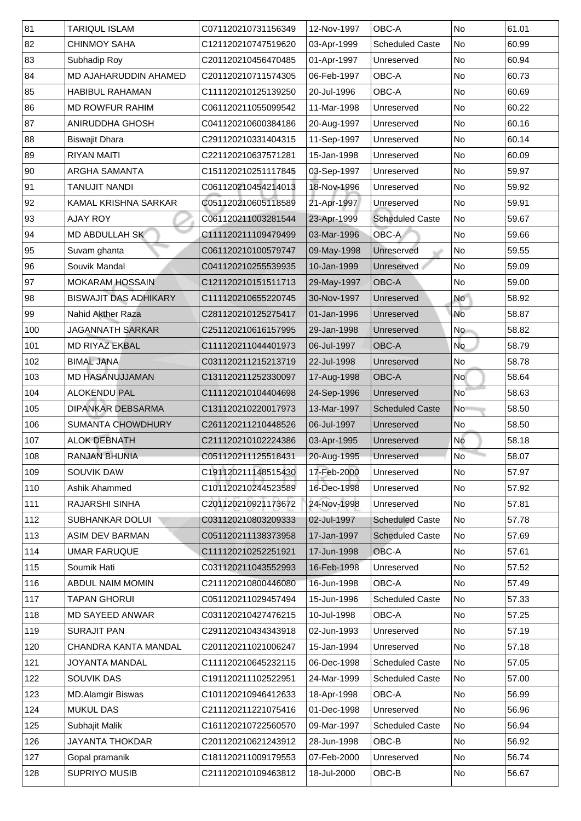| 81  | <b>TARIQUL ISLAM</b>         | C071120210731156349 | 12-Nov-1997 | <b>OBC-A</b>           | <b>No</b>                | 61.01 |
|-----|------------------------------|---------------------|-------------|------------------------|--------------------------|-------|
| 82  | <b>CHINMOY SAHA</b>          | C121120210747519620 | 03-Apr-1999 | <b>Scheduled Caste</b> | <b>No</b>                | 60.99 |
| 83  | <b>Subhadip Roy</b>          | C201120210456470485 | 01-Apr-1997 | Unreserved             | No                       | 60.94 |
| 84  | <b>MD AJAHARUDDIN AHAMED</b> | C201120210711574305 | 06-Feb-1997 | <b>OBC-A</b>           | <b>No</b>                | 60.73 |
| 85  | <b>HABIBUL RAHAMAN</b>       | C111120210125139250 | 20-Jul-1996 | <b>OBC-A</b>           | No                       | 60.69 |
| 86  | <b>MD ROWFUR RAHIM</b>       | C061120211055099542 | 11-Mar-1998 | Unreserved             | <b>No</b>                | 60.22 |
| 87  | <b>ANIRUDDHA GHOSH</b>       | C041120210600384186 | 20-Aug-1997 | Unreserved             | No                       | 60.16 |
| 88  | <b>Biswajit Dhara</b>        | C291120210331404315 | 11-Sep-1997 | Unreserved             | No                       | 60.14 |
| 89  | <b>RIYAN MAITI</b>           | C221120210637571281 | 15-Jan-1998 | Unreserved             | No                       | 60.09 |
| 90  | <b>ARGHA SAMANTA</b>         | C151120210251117845 | 03-Sep-1997 | Unreserved             | No                       | 59.97 |
| 91  | <b>TANUJIT NANDI</b>         | C061120210454214013 | 18-Nov-1996 | Unreserved             | <b>No</b>                | 59.92 |
| 92  | <b>KAMAL KRISHNA SARKAR</b>  | C051120210605118589 | 21-Apr-1997 | Unreserved             | No                       | 59.91 |
| 93  | <b>AJAY ROY</b>              | C061120211003281544 | 23-Apr-1999 | <b>Scheduled Caste</b> | No                       | 59.67 |
| 94  | <b>MD ABDULLAH SK</b>        | C111120211109479499 | 03-Mar-1996 | OBC-A                  | $\overline{\mathsf{No}}$ | 59.66 |
| 95  | Suvam ghanta                 | C061120210100579747 | 09-May-1998 | Unreserved             | N <sub>o</sub>           | 59.55 |
| 96  | Souvik Mandal                | C041120210255539935 | 10-Jan-1999 | <b>Unreserved</b>      | No                       | 59.09 |
| 97  | <b>MOKARAM HOSSAIN</b>       | C121120210151511713 | 29-May-1997 | <b>OBC-A</b>           | No                       | 59.00 |
| 98  | <b>BISWAJIT DAS ADHIKARY</b> | C111120210655220745 | 30-Nov-1997 | <b>Unreserved</b>      | <b>No</b>                | 58.92 |
| 99  | <b>Nahid Akther Raza</b>     | C281120210125275417 | 01-Jan-1996 | Unreserved             | <b>No</b>                | 58.87 |
| 100 | <b>JAGANNATH SARKAR</b>      | C251120210616157995 | 29-Jan-1998 | Unreserved             | <b>No</b>                | 58.82 |
| 101 | <b>MD RIYAZ EKBAL</b>        | C111120211044401973 | 06-Jul-1997 | <b>OBC-A</b>           | <b>No</b>                | 58.79 |
| 102 | <b>BIMAL JANA</b>            | C031120211215213719 | 22-Jul-1998 | Unreserved             | No                       | 58.78 |
| 103 | <b>MD HASANUJJAMAN</b>       | C131120211252330097 | 17-Aug-1998 | <b>OBC-A</b>           | <b>No</b>                | 58.64 |
| 104 | <b>ALOKENDU PAL</b>          | C111120210104404698 | 24-Sep-1996 | Unreserved             | <b>No</b>                | 58.63 |
| 105 | <b>DIPANKAR DEBSARMA</b>     | C131120210220017973 | 13-Mar-1997 | <b>Scheduled Caste</b> | <b>No</b>                | 58.50 |
| 106 | <b>SUMANTA CHOWDHURY</b>     | C261120211210448526 | 06-Jul-1997 | Unreserved             | No                       | 58.50 |
| 107 | <b>ALOK DEBNATH</b>          | C211120210102224386 | 03-Apr-1995 | Unreserved             | No                       | 58.18 |
| 108 | <b>RANJAN BHUNIA</b>         | C051120211125518431 | 20-Aug-1995 | Unreserved             | No                       | 58.07 |
| 109 | <b>SOUVIK DAW</b>            | C191120211148515430 | 17-Feb-2000 | Unreserved             | <b>No</b>                | 57.97 |
| 110 | <b>Ashik Ahammed</b>         | C101120210244523589 | 16-Dec-1998 | Unreserved             | <b>No</b>                | 57.92 |
| 111 | <b>RAJARSHI SINHA</b>        | C201120210921173672 | 24-Nov-1998 | Unreserved             | N <sub>o</sub>           | 57.81 |
| 112 | <b>SUBHANKAR DOLUI</b>       | C031120210803209333 | 02-Jul-1997 | <b>Scheduled Caste</b> | No                       | 57.78 |
| 113 | <b>ASIM DEV BARMAN</b>       | C051120211138373958 | 17-Jan-1997 | <b>Scheduled Caste</b> | No                       | 57.69 |
| 114 | <b>UMAR FARUQUE</b>          | C111120210252251921 | 17-Jun-1998 | OBC-A                  | N <sub>o</sub>           | 57.61 |
| 115 | Soumik Hati                  | C031120211043552993 | 16-Feb-1998 | Unreserved             | N <sub>o</sub>           | 57.52 |
| 116 | <b>ABDUL NAIM MOMIN</b>      | C211120210800446080 | 16-Jun-1998 | <b>OBC-A</b>           | N <sub>o</sub>           | 57.49 |
| 117 | <b>TAPAN GHORUI</b>          | C051120211029457494 | 15-Jun-1996 | <b>Scheduled Caste</b> | <b>No</b>                | 57.33 |
| 118 | <b>MD SAYEED ANWAR</b>       | C031120210427476215 | 10-Jul-1998 | <b>OBC-A</b>           | <b>No</b>                | 57.25 |
| 119 | <b>SURAJIT PAN</b>           | C291120210434343918 | 02-Jun-1993 | Unreserved             | <b>No</b>                | 57.19 |
| 120 | <b>CHANDRA KANTA MANDAL</b>  | C201120211021006247 | 15-Jan-1994 | Unreserved             | N <sub>o</sub>           | 57.18 |
| 121 | <b>JOYANTA MANDAL</b>        | C111120210645232115 | 06-Dec-1998 | <b>Scheduled Caste</b> | N <sub>o</sub>           | 57.05 |
| 122 | <b>SOUVIK DAS</b>            | C191120211102522951 | 24-Mar-1999 | <b>Scheduled Caste</b> | N <sub>o</sub>           | 57.00 |
| 123 | <b>MD.Alamgir Biswas</b>     | C101120210946412633 | 18-Apr-1998 | <b>OBC-A</b>           | No                       | 56.99 |
| 124 | <b>MUKUL DAS</b>             | C211120211221075416 | 01-Dec-1998 | Unreserved             | No                       | 56.96 |
| 125 | <b>Subhajit Malik</b>        | C161120210722560570 | 09-Mar-1997 | <b>Scheduled Caste</b> | No                       | 56.94 |
| 126 | <b>JAYANTA THOKDAR</b>       | C201120210621243912 | 28-Jun-1998 | OBC-B                  | No                       | 56.92 |
| 127 | Gopal pramanik               | C181120211009179553 | 07-Feb-2000 | Unreserved             | No                       | 56.74 |
|     |                              | C211120210109463812 | 18-Jul-2000 | OBC-B                  | N <sub>o</sub>           | 56.67 |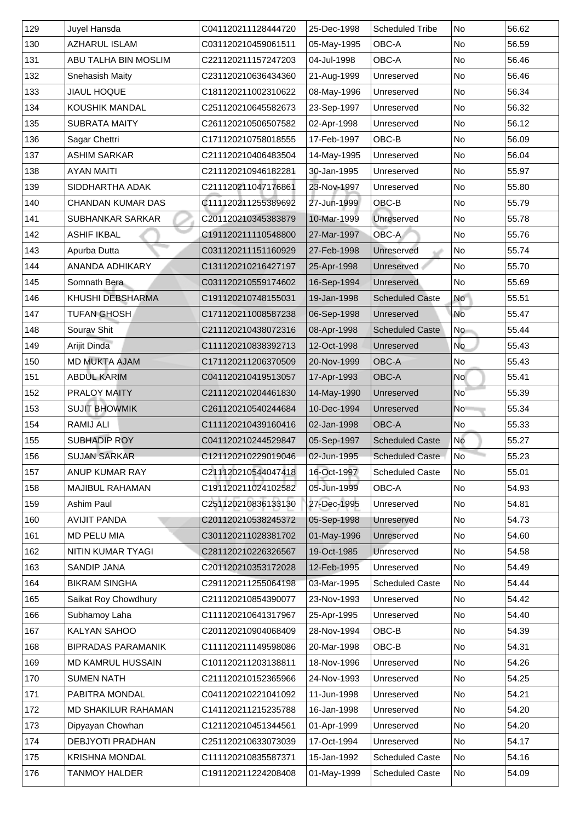| 129 | <b>Juyel Hansda</b>         | C041120211128444720 | 25-Dec-1998 | <b>Scheduled Tribe</b> | <b>No</b>                | 56.62 |
|-----|-----------------------------|---------------------|-------------|------------------------|--------------------------|-------|
| 130 | <b>AZHARUL ISLAM</b>        | C031120210459061511 | 05-May-1995 | <b>OBC-A</b>           | <b>No</b>                | 56.59 |
| 131 | <b>ABU TALHA BIN MOSLIM</b> | C221120211157247203 | 04-Jul-1998 | <b>OBC-A</b>           | <b>No</b>                | 56.46 |
| 132 | <b>Snehasish Maity</b>      | C231120210636434360 | 21-Aug-1999 | Unreserved             | No                       | 56.46 |
| 133 | <b>JIAUL HOQUE</b>          | C181120211002310622 | 08-May-1996 | Unreserved             | No                       | 56.34 |
| 134 | <b>KOUSHIK MANDAL</b>       | C251120210645582673 | 23-Sep-1997 | Unreserved             | <b>No</b>                | 56.32 |
| 135 | <b>SUBRATA MAITY</b>        | C261120210506507582 | 02-Apr-1998 | Unreserved             | No                       | 56.12 |
| 136 | <b>Sagar Chettri</b>        | C171120210758018555 | 17-Feb-1997 | OBC-B                  | <b>No</b>                | 56.09 |
| 137 | <b>ASHIM SARKAR</b>         | C211120210406483504 | 14-May-1995 | Unreserved             | <b>No</b>                | 56.04 |
| 138 | <b>AYAN MAITI</b>           | C211120210946182281 | 30-Jan-1995 | Unreserved             | N <sub>o</sub>           | 55.97 |
| 139 | <b>SIDDHARTHA ADAK</b>      | C211120211047176861 | 23-Nov-1997 | Unreserved             | <b>No</b>                | 55.80 |
| 140 | <b>CHANDAN KUMAR DAS</b>    | C111120211255389692 | 27-Jun-1999 | OBC-B                  | <b>No</b>                | 55.79 |
| 141 | <b>SUBHANKAR SARKAR</b>     | C201120210345383879 | 10-Mar-1999 | <b>Unreserved</b>      | <b>No</b>                | 55.78 |
| 142 | <b>ASHIF IKBAL</b>          | C191120211110548800 | 27-Mar-1997 | OBC-A                  | <b>No</b>                | 55.76 |
| 143 | Apurba Dutta                | C031120211151160929 | 27-Feb-1998 | Unreserved             | N <sub>o</sub>           | 55.74 |
| 144 | <b>ANANDA ADHIKARY</b>      | C131120210216427197 | 25-Apr-1998 | Unreserved             | No                       | 55.70 |
| 145 | Somnath Bera                | C031120210559174602 | 16-Sep-1994 | Unreserved             | No                       | 55.69 |
| 146 | <b>KHUSHI DEBSHARMA</b>     | C191120210748155031 | 19-Jan-1998 | <b>Scheduled Caste</b> | <b>No</b>                | 55.51 |
| 147 | <b>TUFAN GHOSH</b>          | C171120211008587238 | 06-Sep-1998 | Unreserved             | No                       | 55.47 |
| 148 | Sourav Shit                 | C211120210438072316 | 08-Apr-1998 | <b>Scheduled Caste</b> | N <sub>o</sub>           | 55.44 |
| 149 | <b>Arijit Dinda</b>         | C111120210838392713 | 12-Oct-1998 | Unreserved             | <b>No</b>                | 55.43 |
| 150 | <b>MD MUKTA AJAM</b>        | C171120211206370509 | 20-Nov-1999 | <b>OBC-A</b>           | No                       | 55.43 |
| 151 | <b>ABDUL KARIM</b>          | C041120210419513057 | 17-Apr-1993 | <b>OBC-A</b>           | <b>No</b>                | 55.41 |
| 152 | <b>PRALOY MAITY</b>         | C211120210204461830 | 14-May-1990 | Unreserved             | N <sub>o</sub>           | 55.39 |
| 153 | <b>SUJIT BHOWMIK</b>        | C261120210540244684 | 10-Dec-1994 | Unreserved             | <b>No</b>                | 55.34 |
| 154 | <b>RAMIJ ALI</b>            | C111120210439160416 | 02-Jan-1998 | <b>OBC-A</b>           | No                       | 55.33 |
| 155 | <b>SUBHADIP ROY</b>         | C041120210244529847 | 05-Sep-1997 | <b>Scheduled Caste</b> | No                       | 55.27 |
| 156 | <b>SUJAN SARKAR</b>         | C121120210229019046 | 02-Jun-1995 | <b>Scheduled Caste</b> | $\overline{\mathsf{No}}$ | 55.23 |
| 157 | <b>ANUP KUMAR RAY</b>       | C211120210544047418 | 16-Oct-1997 | <b>Scheduled Caste</b> | N <sub>o</sub>           | 55.01 |
| 158 | <b>MAJIBUL RAHAMAN</b>      | C191120211024102582 | 05-Jun-1999 | <b>OBC-A</b>           | <b>No</b>                | 54.93 |
| 159 | <b>Ashim Paul</b>           | C251120210836133130 | 27-Dec-1995 | Unreserved             | No                       | 54.81 |
| 160 | <b>AVIJIT PANDA</b>         | C201120210538245372 | 05-Sep-1998 | Unreserved             | No                       | 54.73 |
| 161 | <b>MD PELU MIA</b>          | C301120211028381702 | 01-May-1996 | Unreserved             | No                       | 54.60 |
| 162 | <b>NITIN KUMAR TYAGI</b>    | C281120210226326567 | 19-Oct-1985 | Unreserved             | No                       | 54.58 |
| 163 | <b>SANDIP JANA</b>          | C201120210353172028 | 12-Feb-1995 | Unreserved             | No                       | 54.49 |
| 164 | <b>BIKRAM SINGHA</b>        | C291120211255064198 | 03-Mar-1995 | <b>Scheduled Caste</b> | N <sub>o</sub>           | 54.44 |
| 165 | <b>Saikat Roy Chowdhury</b> | C211120210854390077 | 23-Nov-1993 | Unreserved             | <b>No</b>                | 54.42 |
| 166 | Subhamoy Laha               | C111120210641317967 | 25-Apr-1995 | Unreserved             | <b>No</b>                | 54.40 |
| 167 | <b>KALYAN SAHOO</b>         | C201120210904068409 | 28-Nov-1994 | OBC-B                  | <b>No</b>                | 54.39 |
| 168 | <b>BIPRADAS PARAMANIK</b>   | C111120211149598086 | 20-Mar-1998 | OBC-B                  | <b>No</b>                | 54.31 |
| 169 | <b>MD KAMRUL HUSSAIN</b>    | C101120211203138811 | 18-Nov-1996 | Unreserved             | N <sub>o</sub>           | 54.26 |
| 170 | <b>SUMEN NATH</b>           | C211120210152365966 | 24-Nov-1993 | Unreserved             | <b>No</b>                | 54.25 |
| 171 | PABITRA MONDAL              | C041120210221041092 | 11-Jun-1998 | Unreserved             | No                       | 54.21 |
| 172 | <b>MD SHAKILUR RAHAMAN</b>  | C141120211215235788 | 16-Jan-1998 | Unreserved             | No                       | 54.20 |
| 173 | Dipyayan Chowhan            | C121120210451344561 | 01-Apr-1999 | Unreserved             | No                       | 54.20 |
| 174 | <b>DEBJYOTI PRADHAN</b>     | C251120210633073039 | 17-Oct-1994 | Unreserved             | No                       | 54.17 |
| 175 | <b>KRISHNA MONDAL</b>       | C111120210835587371 | 15-Jan-1992 | <b>Scheduled Caste</b> | No                       | 54.16 |
| 176 | <b>TANMOY HALDER</b>        | C191120211224208408 | 01-May-1999 | <b>Scheduled Caste</b> | No                       | 54.09 |
|     |                             |                     |             |                        |                          |       |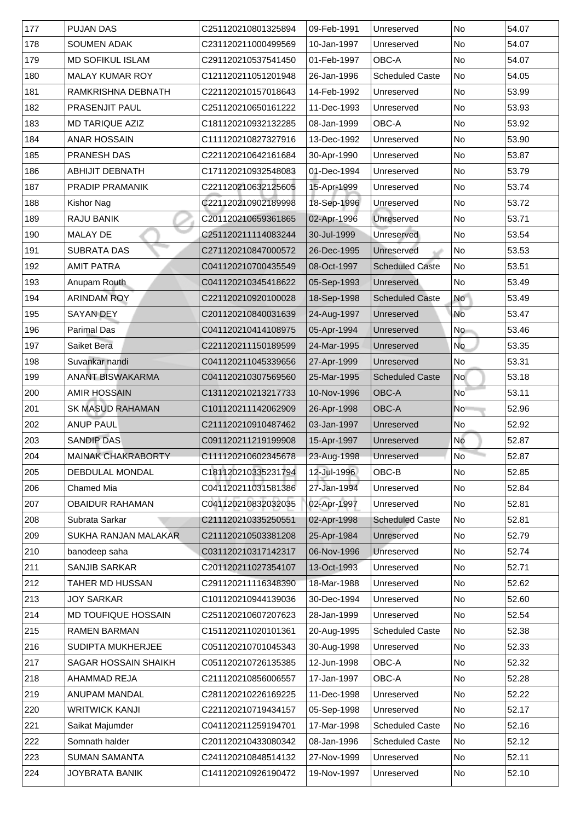| 177 | <b>PUJAN DAS</b>            | C251120210801325894 | 09-Feb-1991 | Unreserved             | No                       | 54.07  |
|-----|-----------------------------|---------------------|-------------|------------------------|--------------------------|--------|
| 178 | <b>SOUMEN ADAK</b>          | C231120211000499569 | 10-Jan-1997 | Unreserved             | No                       | 54.07  |
| 179 | <b>MD SOFIKUL ISLAM</b>     | C291120210537541450 | 01-Feb-1997 | <b>OBC-A</b>           | No                       | 54.07  |
| 180 | <b>MALAY KUMAR ROY</b>      | C121120211051201948 | 26-Jan-1996 | <b>Scheduled Caste</b> | No                       | 54.05  |
| 181 | RAMKRISHNA DEBNATH          | C221120210157018643 | 14-Feb-1992 | Unreserved             | No                       | 53.99  |
| 182 | <b>PRASENJIT PAUL</b>       | C251120210650161222 | 11-Dec-1993 | Unreserved             | No                       | 53.93  |
| 183 | <b>MD TARIQUE AZIZ</b>      | C181120210932132285 | 08-Jan-1999 | <b>OBC-A</b>           | No                       | 53.92  |
| 184 | <b>ANAR HOSSAIN</b>         | C111120210827327916 | 13-Dec-1992 | Unreserved             | N <sub>o</sub>           | 53.90  |
| 185 | <b>PRANESH DAS</b>          | C221120210642161684 | 30-Apr-1990 | Unreserved             | No                       | 53.87  |
| 186 | <b>ABHIJIT DEBNATH</b>      | C171120210932548083 | 01-Dec-1994 | Unreserved             | No                       | 53.79  |
| 187 | <b>PRADIP PRAMANIK</b>      | C221120210632125605 | 15-Apr-1999 | Unreserved             | No                       | 53.74  |
| 188 | <b>Kishor Nag</b>           | C221120210902189998 | 18-Sep-1996 | Unreserved             | No                       | 53.72  |
| 189 | <b>RAJU BANIK</b>           | C201120210659361865 | 02-Apr-1996 | Unreserved             | N <sub>o</sub>           | 53.71  |
| 190 | <b>MALAY DE</b>             | C251120211114083244 | 30-Jul-1999 | Unreserved             | No                       | 153.54 |
| 191 | <b>SUBRATA DAS</b>          | C271120210847000572 | 26-Dec-1995 | Unreserved             | N <sub>o</sub>           | 53.53  |
| 192 | <b>AMIT PATRA</b>           | C041120210700435549 | 08-Oct-1997 | <b>Scheduled Caste</b> | No                       | 53.51  |
| 193 | Anupam Routh                | C041120210345418622 | 05-Sep-1993 | Unreserved             | No                       | 53.49  |
| 194 | <b>ARINDAM ROY</b>          | C221120210920100028 | 18-Sep-1998 | <b>Scheduled Caste</b> | <b>No</b>                | 53.49  |
| 195 | <b>SAYAN DEY</b>            | C201120210840031639 | 24-Aug-1997 | Unreserved             | <b>No</b>                | 53.47  |
| 196 | <b>Parimal Das</b>          | C041120210414108975 | 05-Apr-1994 | Unreserved             | No                       | 53.46  |
| 197 | <b>Saiket Bera</b>          | C221120211150189599 | 24-Mar-1995 | Unreserved             | No                       | 53.35  |
| 198 | Suvankar nandi              | C041120211045339656 | 27-Apr-1999 | Unreserved             | $\overline{\mathsf{No}}$ | 53.31  |
| 199 | <b>ANANT BISWAKARMA</b>     | C041120210307569560 | 25-Mar-1995 | <b>Scheduled Caste</b> | <b>No</b>                | 53.18  |
| 200 | <b>AMIR HOSSAIN</b>         | C131120210213217733 | 10-Nov-1996 | <b>OBC-A</b>           | <b>No</b>                | 53.11  |
| 201 | <b>SK MASUD RAHAMAN</b>     | C101120211142062909 | 26-Apr-1998 | OBC-A                  | No                       | 52.96  |
| 202 | <b>ANUP PAUL</b>            | C211120210910487462 | 03-Jan-1997 | Unreserved             | No                       | 52.92  |
| 203 | <b>SANDIP DAS</b>           | C091120211219199908 | 15-Apr-1997 | Unreserved             | <b>No</b>                | 52.87  |
| 204 | <b>MAINAK CHAKRABORTY</b>   | C111120210602345678 | 23-Aug-1998 | Unreserved             | <b>No</b>                | 52.87  |
| 205 | <b>DEBDULAL MONDAL</b>      | C181120210335231794 | 12-Jul-1996 | OBC-B                  | No                       | 52.85  |
| 206 | <b>Chamed Mia</b>           | C041120211031581386 | 27-Jan-1994 | Unreserved             | <b>No</b>                | 52.84  |
| 207 | <b>OBAIDUR RAHAMAN</b>      | C041120210832032035 | 02-Apr-1997 | Unreserved             | No                       | 52.81  |
| 208 | Subrata Sarkar              | C211120210335250551 | 02-Apr-1998 | <b>Scheduled Caste</b> | No                       | 52.81  |
| 209 | <b>SUKHA RANJAN MALAKAR</b> | C211120210503381208 | 25-Apr-1984 | Unreserved             | No                       | 52.79  |
| 210 | banodeep saha               | C031120210317142317 | 06-Nov-1996 | <b>Unreserved</b>      | No                       | 52.74  |
| 211 | <b>SANJIB SARKAR</b>        | C201120211027354107 | 13-Oct-1993 | Unreserved             | No                       | 52.71  |
| 212 | TAHER MD HUSSAN             | C291120211116348390 | 18-Mar-1988 | Unreserved             | No                       | 52.62  |
| 213 | <b>JOY SARKAR</b>           | C101120210944139036 | 30-Dec-1994 | Unreserved             | No                       | 52.60  |
| 214 | <b>MD TOUFIQUE HOSSAIN</b>  | C251120210607207623 | 28-Jan-1999 | Unreserved             | No                       | 52.54  |
| 215 | <b>RAMEN BARMAN</b>         | C151120211020101361 | 20-Aug-1995 | <b>Scheduled Caste</b> | No                       | 52.38  |
| 216 | <b>SUDIPTA MUKHERJEE</b>    | C051120210701045343 | 30-Aug-1998 | Unreserved             | No                       | 52.33  |
| 217 | <b>SAGAR HOSSAIN SHAIKH</b> | C051120210726135385 | 12-Jun-1998 | OBC-A                  | No                       | 52.32  |
| 218 | <b>AHAMMAD REJA</b>         | C211120210856006557 | 17-Jan-1997 | <b>OBC-A</b>           | No                       | 52.28  |
| 219 | <b>ANUPAM MANDAL</b>        | C281120210226169225 | 11-Dec-1998 | Unreserved             | No                       | 52.22  |
| 220 | <b>WRITWICK KANJI</b>       | C221120210719434157 | 05-Sep-1998 | Unreserved             | No                       | 52.17  |
| 221 | Saikat Majumder             | C041120211259194701 | 17-Mar-1998 | <b>Scheduled Caste</b> | No                       | 52.16  |
| 222 | Somnath halder              | C201120210433080342 | 08-Jan-1996 | <b>Scheduled Caste</b> | No                       | 52.12  |
| 223 | <b>SUMAN SAMANTA</b>        | C241120210848514132 | 27-Nov-1999 | Unreserved             | No                       | 52.11  |
| 224 | <b>JOYBRATA BANIK</b>       | C141120210926190472 | 19-Nov-1997 | Unreserved             | No                       | 52.10  |
|     |                             |                     |             |                        |                          |        |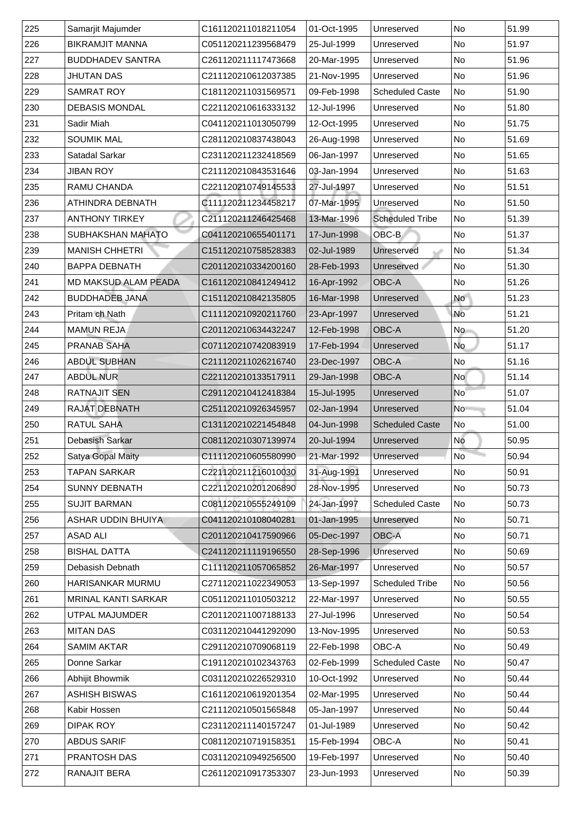| 225 | Samarjit Majumder           | C161120211018211054 | 01-Oct-1995 | Unreserved             | <b>No</b>                | 51.99 |
|-----|-----------------------------|---------------------|-------------|------------------------|--------------------------|-------|
| 226 | <b>BIKRAMJIT MANNA</b>      | C051120211239568479 | 25-Jul-1999 | Unreserved             | No                       | 51.97 |
| 227 | <b>BUDDHADEV SANTRA</b>     | C261120211117473668 | 20-Mar-1995 | Unreserved             | No                       | 51.96 |
| 228 | <b>JHUTAN DAS</b>           | C211120210612037385 | 21-Nov-1995 | Unreserved             | No                       | 51.96 |
| 229 | <b>SAMRAT ROY</b>           | C181120211031569571 | 09-Feb-1998 | <b>Scheduled Caste</b> | N <sub>o</sub>           | 51.90 |
| 230 | <b>DEBASIS MONDAL</b>       | C221120210616333132 | 12-Jul-1996 | Unreserved             | No                       | 51.80 |
| 231 | <b>Sadir Miah</b>           | C041120211013050799 | 12-Oct-1995 | Unreserved             | No                       | 51.75 |
| 232 | <b>SOUMIK MAL</b>           | C281120210837438043 | 26-Aug-1998 | Unreserved             | No                       | 51.69 |
| 233 | <b>Satadal Sarkar</b>       | C231120211232418569 | 06-Jan-1997 | Unreserved             | No                       | 51.65 |
| 234 | <b>JIBAN ROY</b>            | C211120210843531646 | 03-Jan-1994 | Unreserved             | No                       | 51.63 |
| 235 | <b>RAMU CHANDA</b>          | C221120210749145533 | 27-Jul-1997 | Unreserved             | No                       | 51.51 |
| 236 | <b>ATHINDRA DEBNATH</b>     | C111120211234458217 | 07-Mar-1995 | Unreserved             | No                       | 51.50 |
| 237 | <b>ANTHONY TIRKEY</b>       | C211120211246425468 | 13-Mar-1996 | <b>Scheduled Tribe</b> | No                       | 51.39 |
| 238 | <b>SUBHAKSHAN MAHATO</b>    | C041120210655401171 | 17-Jun-1998 | OBC-B                  | $\overline{\mathsf{No}}$ | 51.37 |
| 239 | <b>MANISH CHHETRI</b>       | C151120210758528383 | 02-Jul-1989 | Unreserved             | N <sub>o</sub>           | 51.34 |
| 240 | <b>BAPPA DEBNATH</b>        | C201120210334200160 | 28-Feb-1993 | <b>Unreserved</b>      | No                       | 51.30 |
| 241 | <b>MD MAKSUD ALAM PEADA</b> | C161120210841249412 | 16-Apr-1992 | OBC-A                  | No                       | 51.26 |
| 242 | <b>BUDDHADEB JANA</b>       | C151120210842135805 | 16-Mar-1998 | Unreserved             | <b>No</b>                | 51.23 |
| 243 | <b>Pritam ch Nath</b>       | C111120210920211760 | 23-Apr-1997 | Unreserved             | No                       | 51.21 |
| 244 | <b>MAMUN REJA</b>           | C201120210634432247 | 12-Feb-1998 | <b>OBC-A</b>           | <b>No</b>                | 51.20 |
| 245 | <b>PRANAB SAHA</b>          | C071120210742083919 | 17-Feb-1994 | Unreserved             | <b>No</b>                | 51.17 |
| 246 | <b>ABDUL SUBHAN</b>         | C211120211026216740 | 23-Dec-1997 | <b>OBC-A</b>           | No                       | 51.16 |
| 247 | <b>ABDUL NUR</b>            | C221120210133517911 | 29-Jan-1998 | <b>OBC-A</b>           | <b>No</b>                | 51.14 |
| 248 | <b>RATNAJIT SEN</b>         | C291120210412418384 | 15-Jul-1995 | Unreserved             | <b>No</b>                | 51.07 |
| 249 | <b>RAJAT DEBNATH</b>        | C251120210926345957 | 02-Jan-1994 | Unreserved             | No                       | 51.04 |
| 250 | <b>RATUL SAHA</b>           | C131120210221454848 | 04-Jun-1998 | <b>Scheduled Caste</b> | No                       | 51.00 |
| 251 | <b>Debasish Sarkar</b>      | C081120210307139974 | 20-Jul-1994 | Unreserved             | No                       | 50.95 |
| 252 | <b>Satya Gopal Maity</b>    | C111120210605580990 | 21-Mar-1992 | Unreserved             | N <sub>o</sub>           | 50.94 |
| 253 | <b>TAPAN SARKAR</b>         | C221120211216010030 | 31-Aug-1991 | Unreserved             | No                       | 50.91 |
| 254 | <b>SUNNY DEBNATH</b>        | C221120210201206890 | 28-Nov-1995 | Unreserved             | <b>No</b>                | 50.73 |
| 255 | <b>SUJIT BARMAN</b>         | C081120210555249109 | 24-Jan-1997 | <b>Scheduled Caste</b> | No                       | 50.73 |
| 256 | <b>ASHAR UDDIN BHUIYA</b>   | C041120210108040281 | 01-Jan-1995 | Unreserved             | No                       | 50.71 |
| 257 | <b>ASAD ALI</b>             | C201120210417590966 | 05-Dec-1997 | <b>OBC-A</b>           | <b>No</b>                | 50.71 |
| 258 | <b>BISHAL DATTA</b>         | C241120211119196550 | 28-Sep-1996 | Unreserved             | N <sub>o</sub>           | 50.69 |
| 259 | Debasish Debnath            | C111120211057065852 | 26-Mar-1997 | Unreserved             | No                       | 50.57 |
| 260 | <b>HARISANKAR MURMU</b>     | C271120211022349053 | 13-Sep-1997 | <b>Scheduled Tribe</b> | N <sub>o</sub>           | 50.56 |
| 261 | <b>MRINAL KANTI SARKAR</b>  | C051120211010503212 | 22-Mar-1997 | Unreserved             | No                       | 50.55 |
| 262 | <b>UTPAL MAJUMDER</b>       | C201120211007188133 | 27-Jul-1996 | Unreserved             | <b>No</b>                | 50.54 |
| 263 | <b>MITAN DAS</b>            | C031120210441292090 | 13-Nov-1995 | Unreserved             | N <sub>o</sub>           | 50.53 |
| 264 | <b>SAMIM AKTAR</b>          | C291120210709068119 | 22-Feb-1998 | <b>OBC-A</b>           | <b>No</b>                | 50.49 |
| 265 | Donne Sarkar                | C191120210102343763 | 02-Feb-1999 | <b>Scheduled Caste</b> | N <sub>o</sub>           | 50.47 |
| 266 | Abhijit Bhowmik             | C031120210226529310 | 10-Oct-1992 | Unreserved             | <b>No</b>                | 50.44 |
| 267 | <b>ASHISH BISWAS</b>        | C161120210619201354 | 02-Mar-1995 | Unreserved             | No                       | 50.44 |
| 268 | Kabir Hossen                | C211120210501565848 | 05-Jan-1997 | Unreserved             | No                       | 50.44 |
| 269 | <b>DIPAK ROY</b>            | C231120211140157247 | 01-Jul-1989 | Unreserved             | No                       | 50.42 |
| 270 | <b>ABDUS SARIF</b>          | C081120210719158351 | 15-Feb-1994 | <b>OBC-A</b>           | No                       | 50.41 |
| 271 | <b>PRANTOSH DAS</b>         | C031120210949256500 | 19-Feb-1997 | Unreserved             | No                       | 50.40 |
| 272 | <b>RANAJIT BERA</b>         | C261120210917353307 | 23-Jun-1993 | Unreserved             | N <sub>o</sub>           | 50.39 |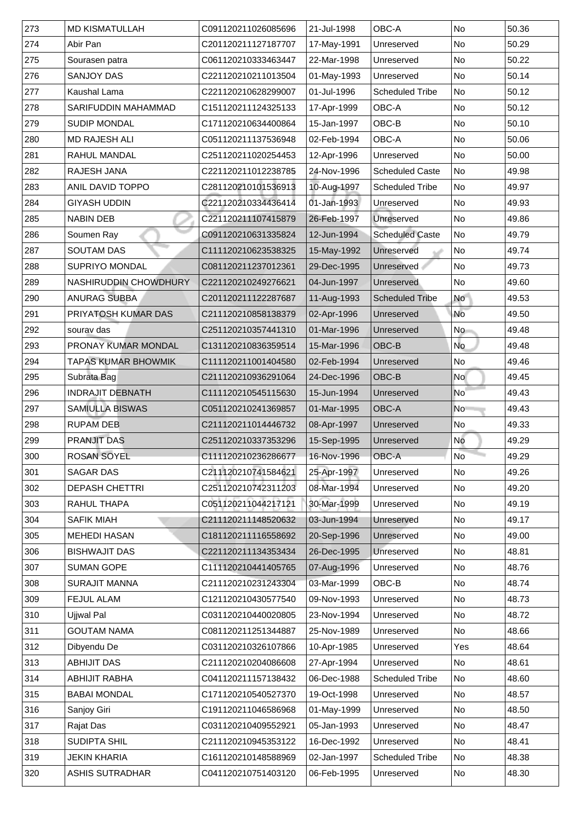| 273           | <b>MD KISMATULLAH</b>      | C091120211026085696 | 21-Jul-1998 | <b>OBC-A</b>           | <b>No</b>      | 50.36 |
|---------------|----------------------------|---------------------|-------------|------------------------|----------------|-------|
| 274           | Abir Pan                   | C201120211127187707 | 17-May-1991 | Unreserved             | <b>No</b>      | 50.29 |
| 275           | Sourasen patra             | C061120210333463447 | 22-Mar-1998 | Unreserved             | No             | 50.22 |
| 276           | <b>SANJOY DAS</b>          | C221120210211013504 | 01-May-1993 | Unreserved             | No             | 50.14 |
| 277           | <b>Kaushal Lama</b>        | C221120210628299007 | 01-Jul-1996 | <b>Scheduled Tribe</b> | N <sub>o</sub> | 50.12 |
| 278           | <b>SARIFUDDIN MAHAMMAD</b> | C151120211124325133 | 17-Apr-1999 | <b>OBC-A</b>           | No             | 50.12 |
| 279           | <b>SUDIP MONDAL</b>        | C171120210634400864 | 15-Jan-1997 | OBC-B                  | <b>No</b>      | 50.10 |
| 280           | <b>IMD RAJESH ALI</b>      | C051120211137536948 | 02-Feb-1994 | <b>OBC-A</b>           | <b>No</b>      | 50.06 |
| 281           | <b>RAHUL MANDAL</b>        | C251120211020254453 | 12-Apr-1996 | Unreserved             | No             | 50.00 |
| 282           | <b>RAJESH JANA</b>         | C221120211012238785 | 24-Nov-1996 | <b>Scheduled Caste</b> | N <sub>o</sub> | 49.98 |
| 283           | <b>ANIL DAVID TOPPO</b>    | C281120210101536913 | 10-Aug-1997 | <b>Scheduled Tribe</b> | <b>No</b>      | 49.97 |
| 284           | <b>GIYASH UDDIN</b>        | C221120210334436414 | 01-Jan-1993 | Unreserved             | No             | 49.93 |
| 285           | <b>NABIN DEB</b>           | C221120211107415879 | 26-Feb-1997 | <b>Unreserved</b>      | <b>No</b>      | 49.86 |
| 286           | Soumen Ray                 | C091120210631335824 | 12-Jun-1994 | <b>Scheduled Caste</b> | No             | 49.79 |
| 287           | <b>SOUTAM DAS</b>          | C111120210623538325 | 15-May-1992 | Unreserved             | N <sub>o</sub> | 49.74 |
| 288           | <b>SUPRIYO MONDAL</b>      | C081120211237012361 | 29-Dec-1995 | <b>Unreserved</b>      | No             | 49.73 |
| 289           | NASHIRUDDIN CHOWDHURY      | C221120210249276621 | 04-Jun-1997 | Unreserved             | No             | 49.60 |
| 290           | <b>ANURAG SUBBA</b>        | C201120211122287687 | 11-Aug-1993 | <b>Scheduled Tribe</b> | <b>No</b>      | 49.53 |
| 291           | <b>PRIYATOSH KUMAR DAS</b> | C211120210858138379 | 02-Apr-1996 | Unreserved             | No             | 49.50 |
| 292           | sourav das                 | C251120210357441310 | 01-Mar-1996 | Unreserved             | <b>No</b>      | 49.48 |
| 293           | <b>PRONAY KUMAR MONDAL</b> | C131120210836359514 | 15-Mar-1996 | OBC-B                  | <b>No</b>      | 49.48 |
| 294           | <b>TAPAS KUMAR BHOWMIK</b> | C111120211001404580 | 02-Feb-1994 | Unreserved             | No             | 49.46 |
| 295           | Subrata Bag                | C211120210936291064 | 24-Dec-1996 | OBC-B                  | <b>No</b>      | 49.45 |
| 296           | <b>INDRAJIT DEBNATH</b>    | C111120210545115630 | 15-Jun-1994 | Unreserved             | <b>No</b>      | 49.43 |
| 297           | <b>SAMIULLA BISWAS</b>     | C051120210241369857 | 01-Mar-1995 | <b>OBC-A</b>           | <b>No</b>      | 49.43 |
| 298           | <b>RUPAM DEB</b>           | C211120211014446732 | 08-Apr-1997 | Unreserved             | No             | 49.33 |
| 299           | <b>PRANJIT DAS</b>         | C251120210337353296 | 15-Sep-1995 | Unreserved             | No             | 49.29 |
| $ 300\rangle$ | <b>ROSAN SOYEL</b>         | C111120210236286677 | 16-Nov-1996 | <b>OBC-A</b>           | <b>No</b>      | 49.29 |
| 301           | <b>SAGAR DAS</b>           | C211120210741584621 | 25-Apr-1997 | Unreserved             | No             | 49.26 |
| 302           | <b>DEPASH CHETTRI</b>      | C251120210742311203 | 08-Mar-1994 | Unreserved             | <b>No</b>      | 49.20 |
| 303           | <b>RAHUL THAPA</b>         | C051120211044217121 | 30-Mar-1999 | Unreserved             | No             | 49.19 |
| 304           | <b>SAFIK MIAH</b>          | C211120211148520632 | 03-Jun-1994 | Unreserved             | No             | 49.17 |
| 305           | <b>MEHEDI HASAN</b>        | C181120211116558692 | 20-Sep-1996 | Unreserved             | No             | 49.00 |
| 306           | <b>BISHWAJIT DAS</b>       | C221120211134353434 | 26-Dec-1995 | Unreserved             | N <sub>o</sub> | 48.81 |
| 307           | <b>SUMAN GOPE</b>          | C111120210441405765 | 07-Aug-1996 | Unreserved             | <b>No</b>      | 48.76 |
| 308           | <b>SURAJIT MANNA</b>       | C211120210231243304 | 03-Mar-1999 | OBC-B                  | No             | 48.74 |
| 309           | <b>FEJUL ALAM</b>          | C121120210430577540 | 09-Nov-1993 | Unreserved             | <b>No</b>      | 48.73 |
| 310           | <b>Ujjwal Pal</b>          | C031120210440020805 | 23-Nov-1994 | Unreserved             | <b>No</b>      | 48.72 |
| 311           | <b>GOUTAM NAMA</b>         | C081120211251344887 | 25-Nov-1989 | Unreserved             | <b>No</b>      | 48.66 |
| 312           | Dibyendu De                | C031120210326107866 | 10-Apr-1985 | Unreserved             | Yes            | 48.64 |
| $ 313\rangle$ | <b>ABHIJIT DAS</b>         | C211120210204086608 | 27-Apr-1994 | Unreserved             | No             | 48.61 |
| 314           | <b>ABHIJIT RABHA</b>       | C041120211157138432 | 06-Dec-1988 | <b>Scheduled Tribe</b> | N <sub>o</sub> | 48.60 |
| 315           | <b>BABAI MONDAL</b>        | C171120210540527370 | 19-Oct-1998 | Unreserved             | No             | 48.57 |
| 316           | <b>Sanjoy Giri</b>         | C191120211046586968 | 01-May-1999 | Unreserved             | No             | 48.50 |
| 317           | <b>Rajat Das</b>           | C031120210409552921 | 05-Jan-1993 | Unreserved             | No             | 48.47 |
| 318           | <b>SUDIPTA SHIL</b>        | C211120210945353122 | 16-Dec-1992 | Unreserved             | No             | 48.41 |
| 319           | <b>JEKIN KHARIA</b>        | C161120210148588969 | 02-Jan-1997 | <b>Scheduled Tribe</b> | No             | 48.38 |
| 320           | <b>ASHIS SUTRADHAR</b>     | C041120210751403120 | 06-Feb-1995 | Unreserved             | No             | 48.30 |
|               |                            |                     |             |                        |                |       |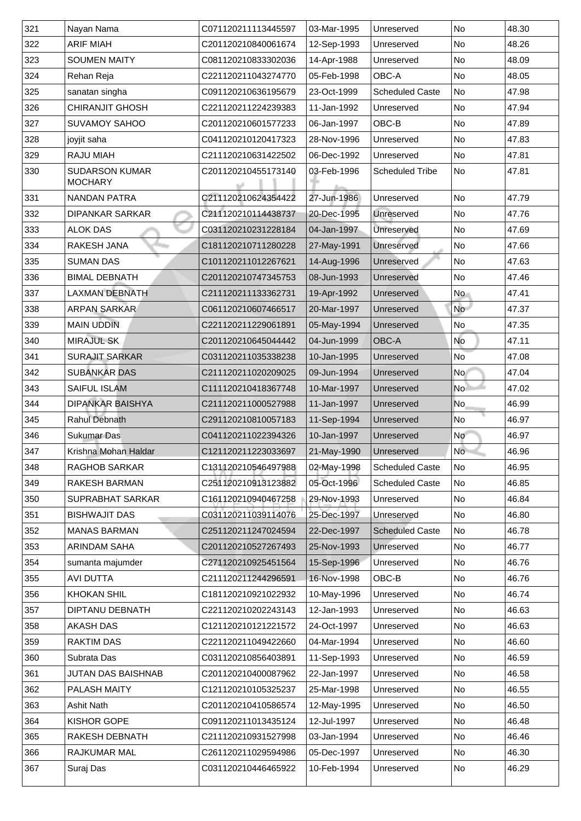| 321 | Nayan Nama                              | C071120211113445597 | 03-Mar-1995 | Unreserved             | <b>No</b>       | 48.30 |
|-----|-----------------------------------------|---------------------|-------------|------------------------|-----------------|-------|
| 322 | <b>ARIF MIAH</b>                        | C201120210840061674 | 12-Sep-1993 | Unreserved             | <b>No</b>       | 48.26 |
| 323 | <b>SOUMEN MAITY</b>                     | C081120210833302036 | 14-Apr-1988 | Unreserved             | N <sub>o</sub>  | 48.09 |
| 324 | Rehan Reja                              | C221120211043274770 | 05-Feb-1998 | OBC-A                  | <b>No</b>       | 48.05 |
| 325 | sanatan singha                          | C091120210636195679 | 23-Oct-1999 | <b>Scheduled Caste</b> | No              | 47.98 |
| 326 | <b>CHIRANJIT GHOSH</b>                  | C221120211224239383 | 11-Jan-1992 | Unreserved             | N <sub>o</sub>  | 47.94 |
| 327 | <b>SUVAMOY SAHOO</b>                    | C201120210601577233 | 06-Jan-1997 | OBC-B                  | <b>No</b>       | 47.89 |
| 328 | ∣joyjit saha                            | C041120210120417323 | 28-Nov-1996 | Unreserved             | N <sub>o</sub>  | 47.83 |
| 329 | <b>RAJU MIAH</b>                        | C211120210631422502 | 06-Dec-1992 | Unreserved             | N <sub>o</sub>  | 47.81 |
| 330 | <b>SUDARSON KUMAR</b><br><b>MOCHARY</b> | C201120210455173140 | 03-Feb-1996 | <b>Scheduled Tribe</b> | <b>No</b>       | 47.81 |
| 331 | <b>NANDAN PATRA</b>                     | C211120210624354422 | 27-Jun-1986 | Unreserved             | <b>No</b>       | 47.79 |
| 332 | <b>DIPANKAR SARKAR</b>                  | C211120210114438737 | 20-Dec-1995 | <b>Unreserved</b>      | N <sub>o</sub>  | 47.76 |
| 333 | <b>ALOK DAS</b>                         | C031120210231228184 | 04-Jan-1997 | Unreserved             | <b>No</b>       | 47.69 |
| 334 | <b>RAKESH JANA</b>                      | C181120210711280228 | 27-May-1991 | Unreserved             | N <sub>o</sub>  | 47.66 |
| 335 | <b>SUMAN DAS</b>                        | C101120211012267621 | 14-Aug-1996 | Unreserved             | No              | 47.63 |
| 336 | <b>BIMAL DEBNATH</b>                    | C201120210747345753 | 08-Jun-1993 | Unreserved             | N <sub>o</sub>  | 47.46 |
| 337 | <b>LAXMAN DEBNATH</b>                   | C211120211133362731 | 19-Apr-1992 | Unreserved             | <b>No</b>       | 47.41 |
| 338 | <b>ARPAN SARKAR</b>                     | C061120210607466517 | 20-Mar-1997 | Unreserved             | No              | 47.37 |
| 339 | <b>MAIN UDDIN</b>                       | C221120211229061891 | 05-May-1994 | Unreserved             | No              | 47.35 |
| 340 | <b>MIRAJUL SK</b>                       | C201120210645044442 | 04-Jun-1999 | <b>OBC-A</b>           | No              | 47.11 |
| 341 | <b>SURAJIT SARKAR</b>                   | C031120211035338238 | 10-Jan-1995 | Unreserved             | No              | 47.08 |
| 342 | <b>SUBANKAR DAS</b>                     | C211120211020209025 | 09-Jun-1994 | Unreserved             | No l            | 47.04 |
| 343 | <b>SAIFUL ISLAM</b>                     | C111120210418367748 | 10-Mar-1997 | <b>Unreserved</b>      | No <sup>1</sup> | 47.02 |
| 344 | <b>DIPANKAR BAISHYA</b>                 | C211120211000527988 | 11-Jan-1997 | Unreserved             | No              | 46.99 |
| 345 | <b>Rahul Debnath</b>                    | C291120210810057183 | 11-Sep-1994 | Unreserved             | No              | 46.97 |
| 346 | <b>Sukumar Das</b>                      | C041120211022394326 | 10-Jan-1997 | Unreserved             | N <sub>o</sub>  | 46.97 |
| 347 | Krishna Mohan Haldar                    | C121120211223033697 | 21-May-1990 | Unreserved             | <b>No</b>       | 46.96 |
| 348 | <b>RAGHOB SARKAR</b>                    | C131120210546497988 | 02-May-1998 | <b>Scheduled Caste</b> | No              | 46.95 |
| 349 | <b>RAKESH BARMAN</b>                    | C251120210913123882 | 05-Oct-1996 | <b>Scheduled Caste</b> | N <sub>o</sub>  | 46.85 |
| 350 | <b>SUPRABHAT SARKAR</b>                 | C161120210940467258 | 29-Nov-1993 | Unreserved             | N <sub>o</sub>  | 46.84 |
| 351 | <b>BISHWAJIT DAS</b>                    | C031120211039114076 | 25-Dec-1997 | Unreserved             | No              | 46.80 |
| 352 | <b>MANAS BARMAN</b>                     | C251120211247024594 | 22-Dec-1997 | <b>Scheduled Caste</b> | N <sub>o</sub>  | 46.78 |
| 353 | <b>ARINDAM SAHA</b>                     | C201120210527267493 | 25-Nov-1993 | Unreserved             | N <sub>o</sub>  | 46.77 |
| 354 | sumanta majumder                        | C271120210925451564 | 15-Sep-1996 | Unreserved             | N <sub>o</sub>  | 46.76 |
| 355 | <b>AVI DUTTA</b>                        | C211120211244296591 | 16-Nov-1998 | OBC-B                  | N <sub>o</sub>  | 46.76 |
| 356 | <b>KHOKAN SHIL</b>                      | C181120210921022932 | 10-May-1996 | Unreserved             | N <sub>o</sub>  | 46.74 |
| 357 | <b>DIPTANU DEBNATH</b>                  | C221120210202243143 | 12-Jan-1993 | Unreserved             | N <sub>o</sub>  | 46.63 |
| 358 | <b>AKASH DAS</b>                        | C121120210121221572 | 24-Oct-1997 | Unreserved             | N <sub>o</sub>  | 46.63 |
| 359 | <b>RAKTIM DAS</b>                       | C221120211049422660 | 04-Mar-1994 | Unreserved             | N <sub>o</sub>  | 46.60 |
| 360 | <b>Subrata Das</b>                      | C031120210856403891 | 11-Sep-1993 | Unreserved             | N <sub>o</sub>  | 46.59 |
| 361 | JUTAN DAS BAISHNAB                      | C201120210400087962 | 22-Jan-1997 | Unreserved             | No              | 46.58 |
| 362 | <b>PALASH MAITY</b>                     | C121120210105325237 | 25-Mar-1998 | Unreserved             | No              | 46.55 |
| 363 | <b>Ashit Nath</b>                       | C201120210410586574 | 12-May-1995 | Unreserved             | No              | 46.50 |
| 364 | <b>KISHOR GOPE</b>                      | C091120211013435124 | 12-Jul-1997 | Unreserved             | No              | 46.48 |
| 365 | <b>RAKESH DEBNATH</b>                   | C211120210931527998 | 03-Jan-1994 | Unreserved             | No              | 46.46 |
| 366 | <b>RAJKUMAR MAL</b>                     | C261120211029594986 | 05-Dec-1997 | Unreserved             | No              | 46.30 |
| 367 | Suraj Das                               | C031120210446465922 | 10-Feb-1994 | Unreserved             | No              | 46.29 |
|     |                                         |                     |             |                        |                 |       |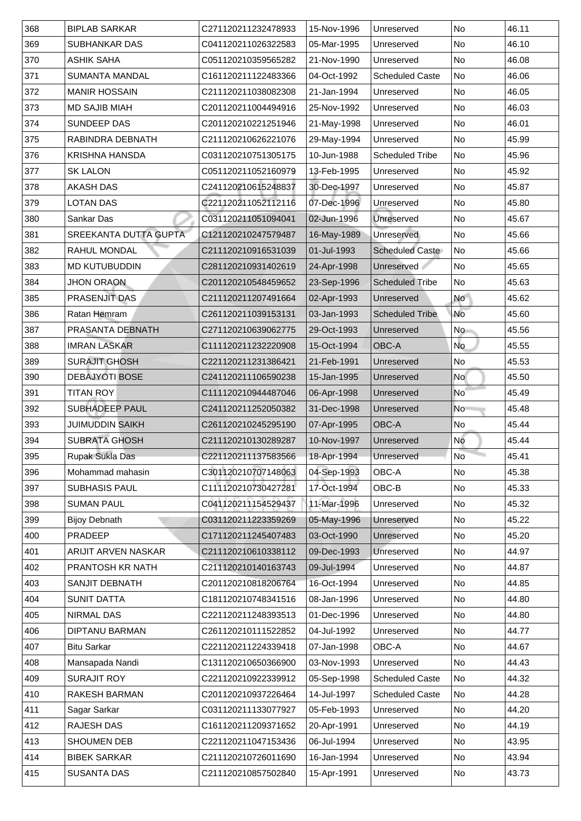| 368           |                                              |                                            |                            |                          |                          |                |
|---------------|----------------------------------------------|--------------------------------------------|----------------------------|--------------------------|--------------------------|----------------|
| 369           | <b>BIPLAB SARKAR</b><br><b>SUBHANKAR DAS</b> | C271120211232478933<br>C041120211026322583 | 15-Nov-1996<br>05-Mar-1995 | Unreserved<br>Unreserved | <b>No</b><br><b>No</b>   | 46.11<br>46.10 |
| 370           | <b>ASHIK SAHA</b>                            | C051120210359565282                        | 21-Nov-1990                | Unreserved               | N <sub>o</sub>           | 46.08          |
| 371           | <b>SUMANTA MANDAL</b>                        | C161120211122483366                        | 04-Oct-1992                | <b>Scheduled Caste</b>   | No                       | 46.06          |
| 372           | <b>MANIR HOSSAIN</b>                         | C211120211038082308                        | 21-Jan-1994                | Unreserved               | No                       | 46.05          |
| 373           | <b>MD SAJIB MIAH</b>                         | C201120211004494916                        | 25-Nov-1992                | Unreserved               | <b>No</b>                | 46.03          |
| 374           | <b>SUNDEEP DAS</b>                           | C201120210221251946                        |                            |                          | No                       | 46.01          |
|               |                                              |                                            | 21-May-1998                | Unreserved               |                          |                |
| 375           | RABINDRA DEBNATH                             | C211120210626221076                        | 29-May-1994                | Unreserved               | N <sub>o</sub>           | 45.99          |
| 376           | <b>KRISHNA HANSDA</b>                        | C031120210751305175                        | 10-Jun-1988                | <b>Scheduled Tribe</b>   | No                       | 45.96          |
| 377           | <b>SK LALON</b>                              | C051120211052160979                        | 13-Feb-1995                | Unreserved               | N <sub>o</sub>           | 45.92          |
| 378           | <b>AKASH DAS</b>                             | C241120210615248837                        | 30-Dec-1997                | Unreserved               | <b>No</b>                | 45.87          |
| 379           | <b>LOTAN DAS</b>                             | C221120211052112116                        | 07-Dec-1996                | Unreserved               | No                       | 45.80          |
| 380           | <b>Sankar Das</b>                            | C031120211051094041                        | 02-Jun-1996                | Unreserved               | <b>No</b>                | 45.67          |
| 381           | <b>SREEKANTA DUTTA GUPTA</b>                 | C121120210247579487                        | 16-May-1989                | Unreserved               | $\overline{\mathsf{No}}$ | 45.66          |
| 382           | <b>RAHUL MONDAL</b>                          | C211120210916531039                        | 01-Jul-1993                | <b>Scheduled Caste</b>   | No                       | 45.66          |
| 383           | <b>MD KUTUBUDDIN</b>                         | C281120210931402619                        | 24-Apr-1998                | Unreserved               | No                       | 45.65          |
| 384           | <b>JHON ORAON</b>                            | C201120210548459652                        | 23-Sep-1996                | <b>Scheduled Tribe</b>   | N <sub>o</sub>           | 45.63          |
| 385           | <b>PRASENJIT DAS</b>                         | C211120211207491664                        | 02-Apr-1993                | Unreserved               | <b>No</b>                | 45.62          |
| 386           | Ratan Hemram                                 | C261120211039153131                        | 03-Jan-1993                | <b>Scheduled Tribe</b>   | No                       | 45.60          |
| 387           | <b>PRASANTA DEBNATH</b>                      | C271120210639062775                        | 29-Oct-1993                | Unreserved               | <b>No</b>                | 45.56          |
| 388           | <b>IMRAN LASKAR</b>                          | C111120211232220908                        | 15-Oct-1994                | <b>OBC-A</b>             | <b>No</b>                | 45.55          |
| 389           | <b>SURAJIT GHOSH</b>                         | C221120211231386421                        | 21-Feb-1991                | Unreserved               | No                       | 45.53          |
| 390           | <b>DEBAJYOTI BOSE</b>                        | C241120211106590238                        | 15-Jan-1995                | Unreserved               | <b>No</b>                | 45.50          |
| 391           | <b>TITAN ROY</b>                             | C111120210944487046                        | 06-Apr-1998                | Unreserved               | <b>No</b>                | 45.49          |
| 392           | <b>SUBHADEEP PAUL</b>                        | C241120211252050382                        | 31-Dec-1998                | Unreserved               | <b>No</b>                | 45.48          |
| 393           | <b>JUIMUDDIN SAIKH</b>                       | C261120210245295190                        | 07-Apr-1995                | <b>OBC-A</b>             | No                       | 45.44          |
| 394           | <b>SUBRATA GHOSH</b>                         | C211120210130289287                        | 10-Nov-1997                | Unreserved               | No                       | 45.44          |
| 395           | <b>Rupak Sukla Das</b>                       | C221120211137583566                        | 18-Apr-1994                | Unreserved               | N <sub>o</sub>           | 45.41          |
| 396           | Mohammad mahasin                             | C301120210707148063                        | 04-Sep-1993                | <b>OBC-A</b>             | No                       | 45.38          |
| 397           | <b>SUBHASIS PAUL</b>                         | C111120210730427281                        | 17-Oct-1994                | OBC-B                    | <b>No</b>                | 45.33          |
| 398           | <b>SUMAN PAUL</b>                            | C041120211154529437                        | 11-Mar-1996                | Unreserved               | No                       | 45.32          |
| 399           | <b>Bijoy Debnath</b>                         | C031120211223359269                        | 05-May-1996                | Unreserved               | No                       | 45.22          |
| 400           | <b>PRADEEP</b>                               | C171120211245407483                        | 03-Oct-1990                | Unreserved               | No                       | 45.20          |
| 401           | <b>ARIJIT ARVEN NASKAR</b>                   | C211120210610338112                        | 09-Dec-1993                | Unreserved               | N <sub>o</sub>           | 44.97          |
| 402           | <b>PRANTOSH KR NATH</b>                      | C211120210140163743                        | 09-Jul-1994                | Unreserved               | No                       | 44.87          |
| 403           | <b>SANJIT DEBNATH</b>                        | C201120210818206764                        | 16-Oct-1994                | Unreserved               | No                       | 44.85          |
| 404           | <b>SUNIT DATTA</b>                           | C181120210748341516                        | 08-Jan-1996                | Unreserved               | <b>No</b>                | 44.80          |
| 405           | <b>NIRMAL DAS</b>                            | C221120211248393513                        | 01-Dec-1996                | Unreserved               | <b>No</b>                | 44.80          |
| 406           | <b>DIPTANU BARMAN</b>                        | C261120210111522852                        | 04-Jul-1992                | Unreserved               | N <sub>o</sub>           | 44.77          |
| 407           | <b>Bitu Sarkar</b>                           | C221120211224339418                        | 07-Jan-1998                | <b>OBC-A</b>             | <b>No</b>                | 44.67          |
| 408           | Mansapada Nandi                              | C131120210650366900                        | 03-Nov-1993                | Unreserved               | N <sub>o</sub>           | 44.43          |
| 409           | <b>SURAJIT ROY</b>                           | C221120210922339912                        | 05-Sep-1998                | <b>Scheduled Caste</b>   | N <sub>o</sub>           | 44.32          |
| 410           | <b>RAKESH BARMAN</b>                         | C201120210937226464                        | 14-Jul-1997                | <b>Scheduled Caste</b>   | No                       | 44.28          |
| 411           | <b>Sagar Sarkar</b>                          | C031120211133077927                        | 05-Feb-1993                | Unreserved               | No                       | 44.20          |
| 412           | <b>RAJESH DAS</b>                            | C161120211209371652                        | 20-Apr-1991                | Unreserved               | No                       | 44.19          |
| 413           | <b>SHOUMEN DEB</b>                           | C221120211047153436                        | 06-Jul-1994                | Unreserved               | No                       | 43.95          |
| $ 414\rangle$ | <b>BIBEK SARKAR</b>                          | C211120210726011690                        | 16-Jan-1994                | Unreserved               | No                       | 43.94          |
|               |                                              |                                            |                            |                          |                          |                |
| 415           | <b>SUSANTA DAS</b>                           | C211120210857502840                        | 15-Apr-1991                | Unreserved               | N <sub>o</sub>           | 43.73          |